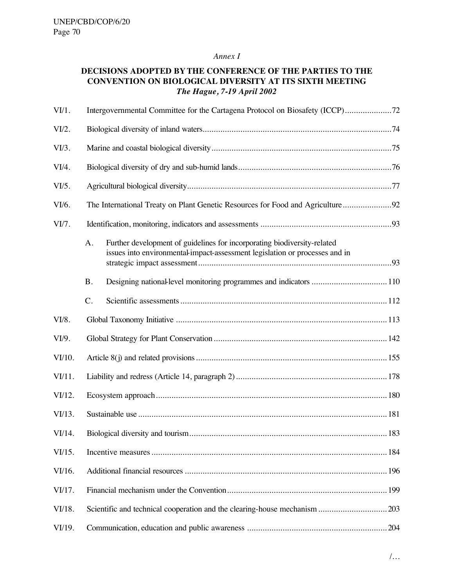### *Annex I*

## **DECISIONS ADOPTED BY THE CONFERENCE OF THE PARTIES TO THE CONVENTION ON BIOLOGICAL DIVERSITY AT ITS SIXTH MEETING** *The Hague, 7-19 April 2002*

| $V1$ .   |                                                                                |                                                                                                                                                         |  |  |
|----------|--------------------------------------------------------------------------------|---------------------------------------------------------------------------------------------------------------------------------------------------------|--|--|
| VI/2.    |                                                                                |                                                                                                                                                         |  |  |
| $VI/3$ . |                                                                                |                                                                                                                                                         |  |  |
| VI/4.    |                                                                                |                                                                                                                                                         |  |  |
| VI/5.    |                                                                                |                                                                                                                                                         |  |  |
| VI/6.    | The International Treaty on Plant Genetic Resources for Food and Agriculture92 |                                                                                                                                                         |  |  |
| VI/7.    |                                                                                |                                                                                                                                                         |  |  |
|          | A.                                                                             | Further development of guidelines for incorporating biodiversity-related<br>issues into environmental-impact-assessment legislation or processes and in |  |  |
|          | <b>B.</b>                                                                      |                                                                                                                                                         |  |  |
|          | C.                                                                             |                                                                                                                                                         |  |  |
| VI/8.    |                                                                                |                                                                                                                                                         |  |  |
| VI/9.    |                                                                                |                                                                                                                                                         |  |  |
| VI/10.   |                                                                                |                                                                                                                                                         |  |  |
| VI/11.   |                                                                                |                                                                                                                                                         |  |  |
| VI/12.   |                                                                                |                                                                                                                                                         |  |  |
| VI/13.   |                                                                                |                                                                                                                                                         |  |  |
| VI/14.   |                                                                                |                                                                                                                                                         |  |  |
| VI/15.   |                                                                                |                                                                                                                                                         |  |  |
| VI/16.   |                                                                                |                                                                                                                                                         |  |  |
| VI/17.   |                                                                                |                                                                                                                                                         |  |  |
| VI/18.   |                                                                                |                                                                                                                                                         |  |  |
| VI/19.   |                                                                                |                                                                                                                                                         |  |  |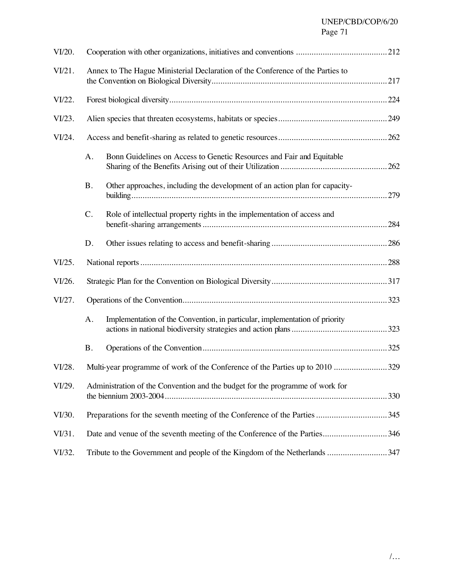# UNEP/CBD/COP/6/20 Page 71

| VI/20. |                                                                                |                                                                             |      |  |  |
|--------|--------------------------------------------------------------------------------|-----------------------------------------------------------------------------|------|--|--|
| VI/21. | Annex to The Hague Ministerial Declaration of the Conference of the Parties to |                                                                             |      |  |  |
| VI/22. |                                                                                |                                                                             |      |  |  |
| VI/23. |                                                                                |                                                                             |      |  |  |
| VI/24. |                                                                                |                                                                             |      |  |  |
|        | A.                                                                             | Bonn Guidelines on Access to Genetic Resources and Fair and Equitable       |      |  |  |
|        | <b>B.</b>                                                                      | Other approaches, including the development of an action plan for capacity- |      |  |  |
|        | C.                                                                             | Role of intellectual property rights in the implementation of access and    |      |  |  |
|        | D.                                                                             |                                                                             | .286 |  |  |
| VI/25. |                                                                                |                                                                             |      |  |  |
| VI/26. |                                                                                |                                                                             |      |  |  |
| VI/27. |                                                                                |                                                                             |      |  |  |
|        | A.                                                                             | Implementation of the Convention, in particular, implementation of priority |      |  |  |
|        | <b>B.</b>                                                                      |                                                                             |      |  |  |
| VI/28. |                                                                                |                                                                             |      |  |  |
| VI/29. | Administration of the Convention and the budget for the programme of work for  |                                                                             |      |  |  |
| VI/30. | Preparations for the seventh meeting of the Conference of the Parties 345      |                                                                             |      |  |  |
| VI/31. |                                                                                |                                                                             |      |  |  |
| VI/32. | Tribute to the Government and people of the Kingdom of the Netherlands 347     |                                                                             |      |  |  |